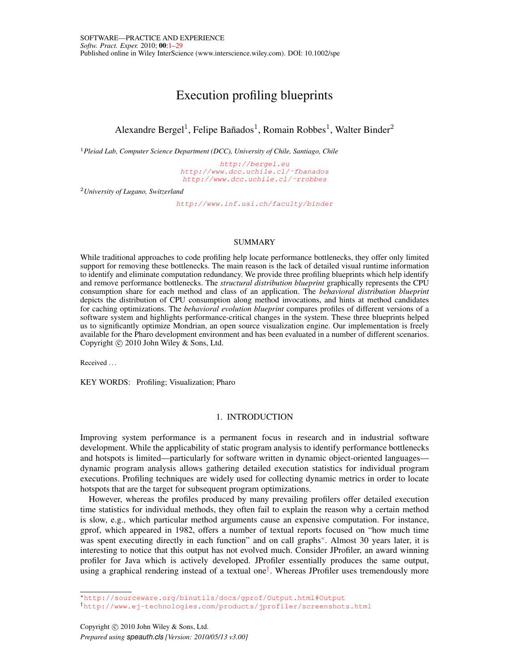# Execution profiling blueprints

Alexandre Bergel<sup>1</sup>, Felipe Bañados<sup>1</sup>, Romain Robbes<sup>1</sup>, Walter Binder<sup>2</sup>

<sup>1</sup>*Pleiad Lab, Computer Science Department (DCC), University of Chile, Santiago, Chile*

<http://bergel.eu> [http://www.dcc.uchile.cl/˜fbanados](http://www.dcc.uchile.cl/~fbanados) [http://www.dcc.uchile.cl/˜rrobbes](http://www.dcc.uchile.cl/~rrobbes)

<sup>2</sup>*University of Lugano, Switzerland*

<http://www.inf.usi.ch/faculty/binder>

## SUMMARY

While traditional approaches to code profiling help locate performance bottlenecks, they offer only limited support for removing these bottlenecks. The main reason is the lack of detailed visual runtime information to identify and eliminate computation redundancy. We provide three profiling blueprints which help identify and remove performance bottlenecks. The *structural distribution blueprint* graphically represents the CPU consumption share for each method and class of an application. The *behavioral distribution blueprint* depicts the distribution of CPU consumption along method invocations, and hints at method candidates for caching optimizations. The *behavioral evolution blueprint* compares profiles of different versions of a software system and highlights performance-critical changes in the system. These three blueprints helped us to significantly optimize Mondrian, an open source visualization engine. Our implementation is freely available for the Pharo development environment and has been evaluated in a number of different scenarios. Copyright  $\odot$  2010 John Wiley & Sons, Ltd.

Received . . .

KEY WORDS: Profiling; Visualization; Pharo

#### 1. INTRODUCTION

Improving system performance is a permanent focus in research and in industrial software development. While the applicability of static program analysis to identify performance bottlenecks and hotspots is limited—particularly for software written in dynamic object-oriented languages dynamic program analysis allows gathering detailed execution statistics for individual program executions. Profiling techniques are widely used for collecting dynamic metrics in order to locate hotspots that are the target for subsequent program optimizations.

However, whereas the profiles produced by many prevailing profilers offer detailed execution time statistics for individual methods, they often fail to explain the reason why a certain method is slow, e.g., which particular method arguments cause an expensive computation. For instance, gprof, which appeared in 1982, offers a number of textual reports focused on "how much time was spent executing directly in each function" and on call graphs<sup>[∗](#page-0-0)</sup>. Almost 30 years later, it is interesting to notice that this output has not evolved much. Consider JProfiler, an award winning profiler for Java which is actively developed. JProfiler essentially produces the same output, using a graphical rendering instead of a textual one<sup>[†](#page-0-1)</sup>. Whereas JProfiler uses tremendously more

<span id="page-0-0"></span><sup>∗</sup><http://sourceware.org/binutils/docs/gprof/Output.html#Output>

<span id="page-0-1"></span><sup>†</sup><http://www.ej-technologies.com/products/jprofiler/screenshots.html>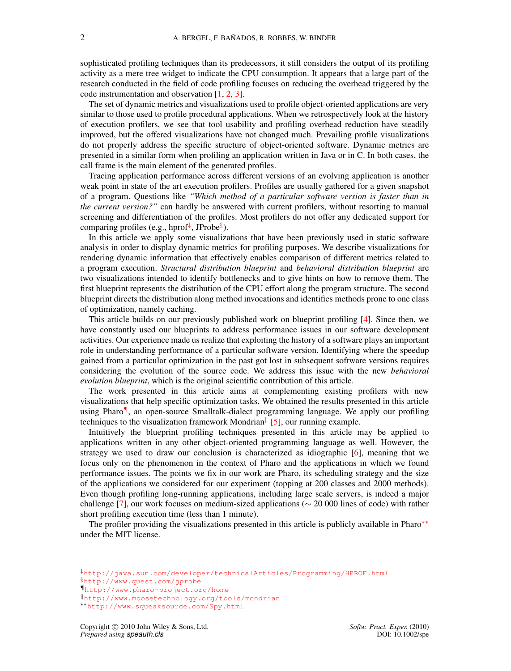sophisticated profiling techniques than its predecessors, it still considers the output of its profiling activity as a mere tree widget to indicate the CPU consumption. It appears that a large part of the research conducted in the field of code profiling focuses on reducing the overhead triggered by the code instrumentation and observation [\[1,](#page-27-0) [2,](#page-27-1) [3\]](#page-27-2).

The set of dynamic metrics and visualizations used to profile object-oriented applications are very similar to those used to profile procedural applications. When we retrospectively look at the history of execution profilers, we see that tool usability and profiling overhead reduction have steadily improved, but the offered visualizations have not changed much. Prevailing profile visualizations do not properly address the specific structure of object-oriented software. Dynamic metrics are presented in a similar form when profiling an application written in Java or in C. In both cases, the call frame is the main element of the generated profiles.

Tracing application performance across different versions of an evolving application is another weak point in state of the art execution profilers. Profiles are usually gathered for a given snapshot of a program. Questions like *"Which method of a particular software version is faster than in the current version?"* can hardly be answered with current profilers, without resorting to manual screening and differentiation of the profiles. Most profilers do not offer any dedicated support for comparing profiles (e.g., hprof<sup>[‡](#page-1-0)</sup>, JProbe<sup>[§](#page-1-1)</sup>).

In this article we apply some visualizations that have been previously used in static software analysis in order to display dynamic metrics for profiling purposes. We describe visualizations for rendering dynamic information that effectively enables comparison of different metrics related to a program execution. *Structural distribution blueprint* and *behavioral distribution blueprint* are two visualizations intended to identify bottlenecks and to give hints on how to remove them. The first blueprint represents the distribution of the CPU effort along the program structure. The second blueprint directs the distribution along method invocations and identifies methods prone to one class of optimization, namely caching.

This article builds on our previously published work on blueprint profiling [\[4\]](#page-27-3). Since then, we have constantly used our blueprints to address performance issues in our software development activities. Our experience made us realize that exploiting the history of a software plays an important role in understanding performance of a particular software version. Identifying where the speedup gained from a particular optimization in the past got lost in subsequent software versions requires considering the evolution of the source code. We address this issue with the new *behavioral evolution blueprint*, which is the original scientific contribution of this article.

The work presented in this article aims at complementing existing profilers with new visualizations that help specific optimization tasks. We obtained the results presented in this article using Pharo[¶](#page-1-2), an open-source Smalltalk-dialect programming language. We apply our profiling techniques to the visualization framewor[k](#page-1-3) Mondrian<sup>||</sup> [\[5\]](#page-27-4), our running example.

Intuitively the blueprint profiling techniques presented in this article may be applied to applications written in any other object-oriented programming language as well. However, the strategy we used to draw our conclusion is characterized as idiographic [\[6\]](#page-27-5), meaning that we focus only on the phenomenon in the context of Pharo and the applications in which we found performance issues. The points we fix in our work are Pharo, its scheduling strategy and the size of the applications we considered for our experiment (topping at 200 classes and 2000 methods). Even though profiling long-running applications, including large scale servers, is indeed a major challenge [\[7\]](#page-27-6), our work focuses on medium-sized applications (∼ 20 000 lines of code) with rather short profiling execution time (less than 1 minute).

The profiler providing the visualizations presented in this article is publicly available in Pharo\*\* under the MIT license.

<span id="page-1-0"></span><sup>‡</sup><http://java.sun.com/developer/technicalArticles/Programming/HPROF.html>

<span id="page-1-1"></span><sup>§</sup><http://www.quest.com/jprobe>

<span id="page-1-2"></span><sup>¶</sup><http://www.pharo-project.org/home>

<span id="page-1-3"></span><sup>k</sup><http://www.moosetechnology.org/tools/mondrian>

<span id="page-1-4"></span><sup>∗∗</sup><http://www.squeaksource.com/Spy.html>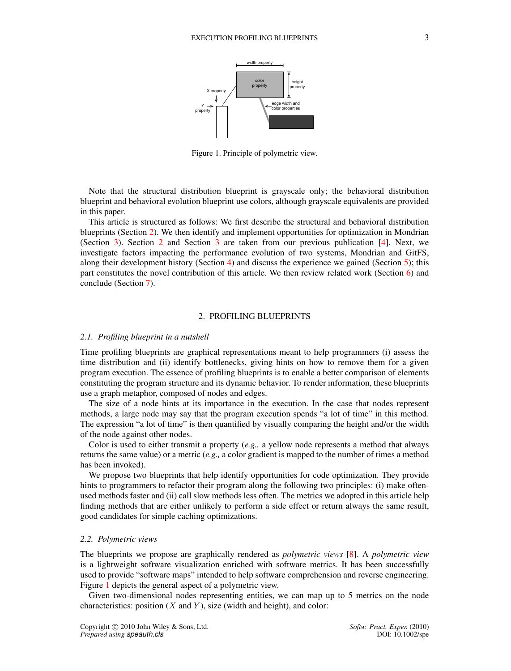<span id="page-2-1"></span>

Figure 1. Principle of polymetric view.

Note that the structural distribution blueprint is grayscale only; the behavioral distribution blueprint and behavioral evolution blueprint use colors, although grayscale equivalents are provided in this paper.

This article is structured as follows: We first describe the structural and behavioral distribution blueprints (Section [2\)](#page-2-0). We then identify and implement opportunities for optimization in Mondrian (Section [3\)](#page-8-0). Section [2](#page-2-0) and Section [3](#page-8-0) are taken from our previous publication [\[4\]](#page-27-3). Next, we investigate factors impacting the performance evolution of two systems, Mondrian and GitFS, along their development history (Section [4\)](#page-14-0) and discuss the experience we gained (Section [5\)](#page-20-0); this part constitutes the novel contribution of this article. We then review related work (Section [6\)](#page-25-0) and conclude (Section [7\)](#page-26-0).

# 2. PROFILING BLUEPRINTS

#### <span id="page-2-0"></span>*2.1. Profiling blueprint in a nutshell*

Time profiling blueprints are graphical representations meant to help programmers (i) assess the time distribution and (ii) identify bottlenecks, giving hints on how to remove them for a given program execution. The essence of profiling blueprints is to enable a better comparison of elements constituting the program structure and its dynamic behavior. To render information, these blueprints use a graph metaphor, composed of nodes and edges.

The size of a node hints at its importance in the execution. In the case that nodes represent methods, a large node may say that the program execution spends "a lot of time" in this method. The expression "a lot of time" is then quantified by visually comparing the height and/or the width of the node against other nodes.

Color is used to either transmit a property (*e.g.,* a yellow node represents a method that always returns the same value) or a metric (*e.g.,* a color gradient is mapped to the number of times a method has been invoked).

We propose two blueprints that help identify opportunities for code optimization. They provide hints to programmers to refactor their program along the following two principles: (i) make oftenused methods faster and (ii) call slow methods less often. The metrics we adopted in this article help finding methods that are either unlikely to perform a side effect or return always the same result, good candidates for simple caching optimizations.

#### *2.2. Polymetric views*

The blueprints we propose are graphically rendered as *polymetric views* [\[8\]](#page-27-7). A *polymetric view* is a lightweight software visualization enriched with software metrics. It has been successfully used to provide "software maps" intended to help software comprehension and reverse engineering. Figure [1](#page-2-1) depicts the general aspect of a polymetric view.

Given two-dimensional nodes representing entities, we can map up to 5 metrics on the node characteristics: position  $(X \text{ and } Y)$ , size (width and height), and color: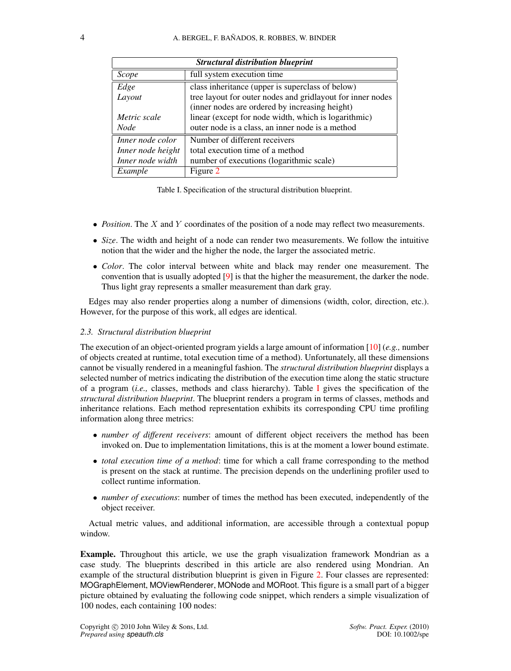<span id="page-3-0"></span>

| <b>Structural distribution blueprint</b> |                                                            |  |  |
|------------------------------------------|------------------------------------------------------------|--|--|
| Scope                                    | full system execution time                                 |  |  |
| Edge                                     | class inheritance (upper is superclass of below)           |  |  |
| Layout                                   | tree layout for outer nodes and gridlayout for inner nodes |  |  |
|                                          | (inner nodes are ordered by increasing height)             |  |  |
| Metric scale                             | linear (except for node width, which is logarithmic)       |  |  |
| <b>Node</b>                              | outer node is a class, an inner node is a method           |  |  |
| Inner node $\overline{color}$            | Number of different receivers                              |  |  |
| Inner node height                        | total execution time of a method                           |  |  |
| Inner node width                         | number of executions (logarithmic scale)                   |  |  |
| Example                                  | Figure 2                                                   |  |  |

Table I. Specification of the structural distribution blueprint.

- *Position*. The X and Y coordinates of the position of a node may reflect two measurements.
- *Size*. The width and height of a node can render two measurements. We follow the intuitive notion that the wider and the higher the node, the larger the associated metric.
- *Color*. The color interval between white and black may render one measurement. The convention that is usually adopted [\[9\]](#page-27-8) is that the higher the measurement, the darker the node. Thus light gray represents a smaller measurement than dark gray.

Edges may also render properties along a number of dimensions (width, color, direction, etc.). However, for the purpose of this work, all edges are identical.

## <span id="page-3-1"></span>*2.3. Structural distribution blueprint*

The execution of an object-oriented program yields a large amount of information [\[10\]](#page-27-9) (*e.g.,* number of objects created at runtime, total execution time of a method). Unfortunately, all these dimensions cannot be visually rendered in a meaningful fashion. The *structural distribution blueprint* displays a selected number of metrics indicating the distribution of the execution time along the static structure of a program (*i.e.,* classes, methods and class hierarchy). Table [I](#page-3-0) gives the specification of the *structural distribution blueprint*. The blueprint renders a program in terms of classes, methods and inheritance relations. Each method representation exhibits its corresponding CPU time profiling information along three metrics:

- *number of different receivers*: amount of different object receivers the method has been invoked on. Due to implementation limitations, this is at the moment a lower bound estimate.
- *total execution time of a method*: time for which a call frame corresponding to the method is present on the stack at runtime. The precision depends on the underlining profiler used to collect runtime information.
- *number of executions*: number of times the method has been executed, independently of the object receiver.

Actual metric values, and additional information, are accessible through a contextual popup window.

Example. Throughout this article, we use the graph visualization framework Mondrian as a case study. The blueprints described in this article are also rendered using Mondrian. An example of the structural distribution blueprint is given in Figure [2.](#page-4-0) Four classes are represented: MOGraphElement, MOViewRenderer, MONode and MORoot. This figure is a small part of a bigger picture obtained by evaluating the following code snippet, which renders a simple visualization of 100 nodes, each containing 100 nodes: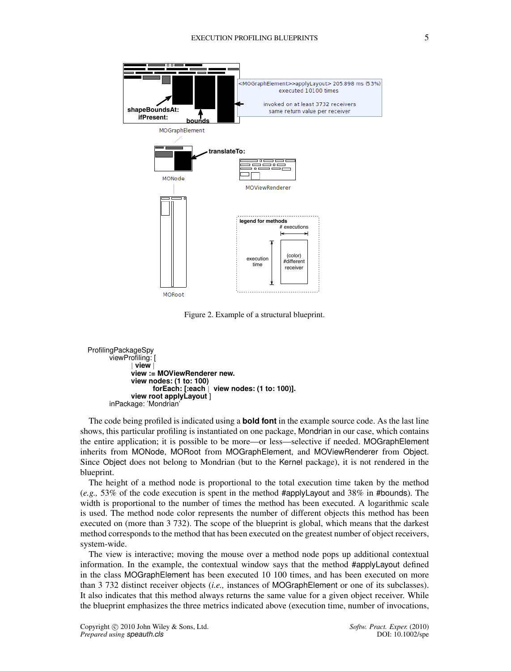<span id="page-4-0"></span>

Figure 2. Example of a structural blueprint.

```
ProfilingPackageSpy
      viewProfiling: [
             | view |
             view := MOViewRenderer new.
             view nodes: (1 to: 100)
                    forEach: [:each | view nodes: (1 to: 100)].
             view root applyLayout ]
      inPackage: 'Mondrian'
```
The code being profiled is indicated using a **bold font** in the example source code. As the last line shows, this particular profiling is instantiated on one package, Mondrian in our case, which contains the entire application; it is possible to be more—or less—selective if needed. MOGraphElement inherits from MONode, MORoot from MOGraphElement, and MOViewRenderer from Object. Since Object does not belong to Mondrian (but to the Kernel package), it is not rendered in the blueprint.

The height of a method node is proportional to the total execution time taken by the method (*e.g.,* 53% of the code execution is spent in the method #applyLayout and 38% in #bounds). The width is proportional to the number of times the method has been executed. A logarithmic scale is used. The method node color represents the number of different objects this method has been executed on (more than 3 732). The scope of the blueprint is global, which means that the darkest method corresponds to the method that has been executed on the greatest number of object receivers, system-wide.

The view is interactive; moving the mouse over a method node pops up additional contextual information. In the example, the contextual window says that the method #applyLayout defined in the class MOGraphElement has been executed 10 100 times, and has been executed on more than 3 732 distinct receiver objects (*i.e.,* instances of MOGraphElement or one of its subclasses). It also indicates that this method always returns the same value for a given object receiver. While the blueprint emphasizes the three metrics indicated above (execution time, number of invocations,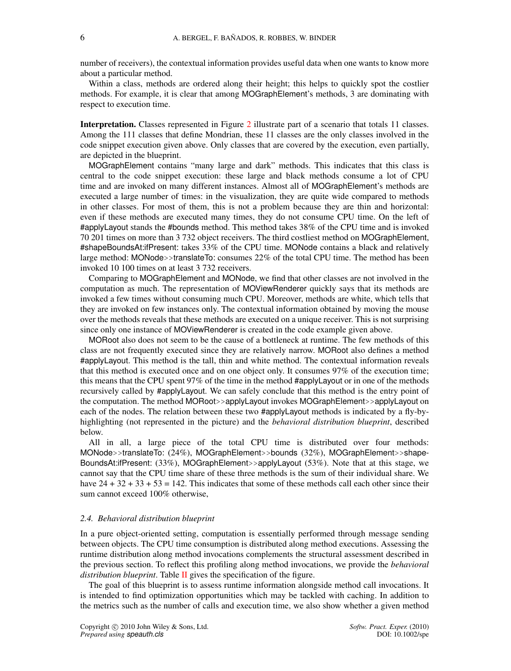number of receivers), the contextual information provides useful data when one wants to know more about a particular method.

Within a class, methods are ordered along their height; this helps to quickly spot the costlier methods. For example, it is clear that among MOGraphElement's methods, 3 are dominating with respect to execution time.

Interpretation. Classes represented in Figure [2](#page-4-0) illustrate part of a scenario that totals 11 classes. Among the 111 classes that define Mondrian, these 11 classes are the only classes involved in the code snippet execution given above. Only classes that are covered by the execution, even partially, are depicted in the blueprint.

MOGraphElement contains "many large and dark" methods. This indicates that this class is central to the code snippet execution: these large and black methods consume a lot of CPU time and are invoked on many different instances. Almost all of MOGraphElement's methods are executed a large number of times: in the visualization, they are quite wide compared to methods in other classes. For most of them, this is not a problem because they are thin and horizontal: even if these methods are executed many times, they do not consume CPU time. On the left of #applyLayout stands the #bounds method. This method takes 38% of the CPU time and is invoked 70 201 times on more than 3 732 object receivers. The third costliest method on MOGraphElement, #shapeBoundsAt:ifPresent: takes 33% of the CPU time. MONode contains a black and relatively large method: MONode>>translateTo: consumes 22% of the total CPU time. The method has been invoked 10 100 times on at least 3 732 receivers.

Comparing to MOGraphElement and MONode, we find that other classes are not involved in the computation as much. The representation of MOViewRenderer quickly says that its methods are invoked a few times without consuming much CPU. Moreover, methods are white, which tells that they are invoked on few instances only. The contextual information obtained by moving the mouse over the methods reveals that these methods are executed on a unique receiver. This is not surprising since only one instance of MOViewRenderer is created in the code example given above.

MORoot also does not seem to be the cause of a bottleneck at runtime. The few methods of this class are not frequently executed since they are relatively narrow. MORoot also defines a method #applyLayout. This method is the tall, thin and white method. The contextual information reveals that this method is executed once and on one object only. It consumes 97% of the execution time; this means that the CPU spent 97% of the time in the method #applyLayout or in one of the methods recursively called by #applyLayout. We can safely conclude that this method is the entry point of the computation. The method MORoot>>applyLayout invokes MOGraphElement>>applyLayout on each of the nodes. The relation between these two #applyLayout methods is indicated by a fly-byhighlighting (not represented in the picture) and the *behavioral distribution blueprint*, described below.

All in all, a large piece of the total CPU time is distributed over four methods: MONode>>translateTo: (24%), MOGraphElement>>bounds (32%), MOGraphElement>>shape-BoundsAt:ifPresent: (33%), MOGraphElement>>applyLayout (53%). Note that at this stage, we cannot say that the CPU time share of these three methods is the sum of their individual share. We have  $24 + 32 + 33 + 53 = 142$ . This indicates that some of these methods call each other since their sum cannot exceed 100% otherwise,

#### <span id="page-5-0"></span>*2.4. Behavioral distribution blueprint*

In a pure object-oriented setting, computation is essentially performed through message sending between objects. The CPU time consumption is distributed along method executions. Assessing the runtime distribution along method invocations complements the structural assessment described in the previous section. To reflect this profiling along method invocations, we provide the *behavioral distribution blueprint*. Table [II](#page-6-0) gives the specification of the figure.

The goal of this blueprint is to assess runtime information alongside method call invocations. It is intended to find optimization opportunities which may be tackled with caching. In addition to the metrics such as the number of calls and execution time, we also show whether a given method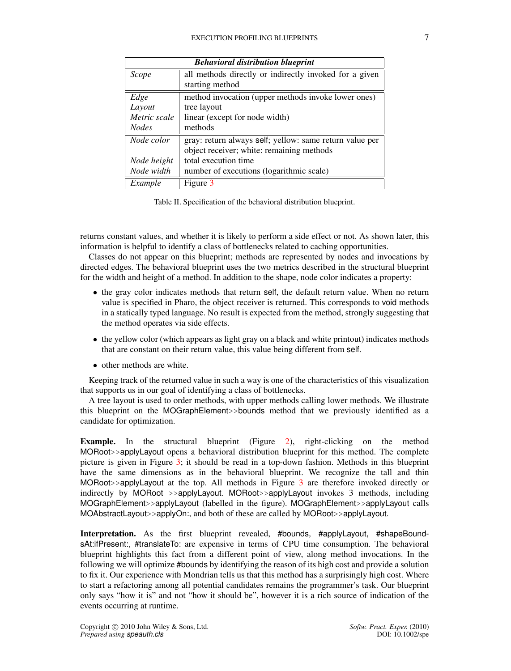<span id="page-6-0"></span>

| <b>Behavioral distribution blueprint</b> |                                                         |  |
|------------------------------------------|---------------------------------------------------------|--|
| Scope                                    | all methods directly or indirectly invoked for a given  |  |
|                                          | starting method                                         |  |
| Edge                                     | method invocation (upper methods invoke lower ones)     |  |
| Layout                                   | tree layout                                             |  |
| Metric scale                             | linear (except for node width)                          |  |
| <b>Nodes</b>                             | methods                                                 |  |
| Node color                               | gray: return always self; yellow: same return value per |  |
|                                          | object receiver; white: remaining methods               |  |
| Node height                              | total execution time                                    |  |
| Node width                               | number of executions (logarithmic scale)                |  |
| Example                                  | Figure 3                                                |  |

Table II. Specification of the behavioral distribution blueprint.

returns constant values, and whether it is likely to perform a side effect or not. As shown later, this information is helpful to identify a class of bottlenecks related to caching opportunities.

Classes do not appear on this blueprint; methods are represented by nodes and invocations by directed edges. The behavioral blueprint uses the two metrics described in the structural blueprint for the width and height of a method. In addition to the shape, node color indicates a property:

- the gray color indicates methods that return self, the default return value. When no return value is specified in Pharo, the object receiver is returned. This corresponds to void methods in a statically typed language. No result is expected from the method, strongly suggesting that the method operates via side effects.
- the yellow color (which appears as light gray on a black and white printout) indicates methods that are constant on their return value, this value being different from self.
- other methods are white.

Keeping track of the returned value in such a way is one of the characteristics of this visualization that supports us in our goal of identifying a class of bottlenecks.

A tree layout is used to order methods, with upper methods calling lower methods. We illustrate this blueprint on the MOGraphElement>>bounds method that we previously identified as a candidate for optimization.

Example. In the structural blueprint (Figure [2\)](#page-4-0), right-clicking on the method MORoot>>applyLayout opens a behavioral distribution blueprint for this method. The complete picture is given in Figure [3;](#page-7-0) it should be read in a top-down fashion. Methods in this blueprint have the same dimensions as in the behavioral blueprint. We recognize the tall and thin MORoot>>applyLayout at the top. All methods in Figure [3](#page-7-0) are therefore invoked directly or indirectly by MORoot >>applyLayout. MORoot>>applyLayout invokes 3 methods, including MOGraphElement>>applyLayout (labelled in the figure). MOGraphElement>>applyLayout calls MOAbstractLayout>>applyOn:, and both of these are called by MORoot>>applyLayout.

Interpretation. As the first blueprint revealed, #bounds, #applyLayout, #shapeBoundsAt:ifPresent:, #translateTo: are expensive in terms of CPU time consumption. The behavioral blueprint highlights this fact from a different point of view, along method invocations. In the following we will optimize #bounds by identifying the reason of its high cost and provide a solution to fix it. Our experience with Mondrian tells us that this method has a surprisingly high cost. Where to start a refactoring among all potential candidates remains the programmer's task. Our blueprint only says "how it is" and not "how it should be", however it is a rich source of indication of the events occurring at runtime.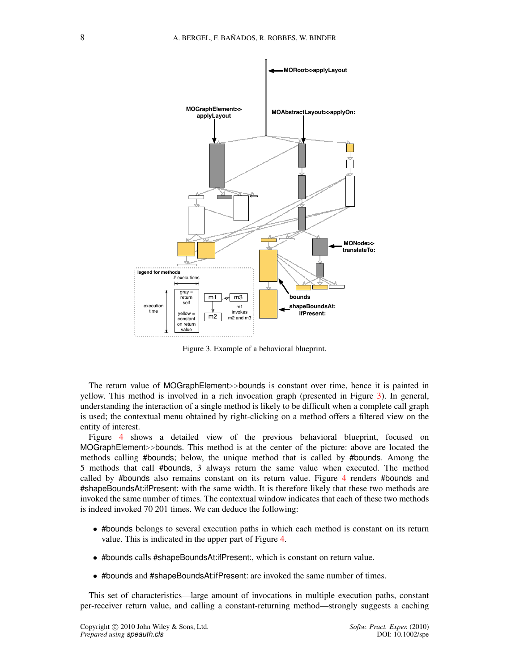<span id="page-7-0"></span>

Figure 3. Example of a behavioral blueprint.

The return value of MOGraphElement>>bounds is constant over time, hence it is painted in yellow. This method is involved in a rich invocation graph (presented in Figure [3\)](#page-7-0). In general, understanding the interaction of a single method is likely to be difficult when a complete call graph is used; the contextual menu obtained by right-clicking on a method offers a filtered view on the entity of interest.

Figure [4](#page-8-1) shows a detailed view of the previous behavioral blueprint, focused on MOGraphElement>>bounds. This method is at the center of the picture: above are located the methods calling #bounds; below, the unique method that is called by #bounds. Among the 5 methods that call #bounds, 3 always return the same value when executed. The method called by #bounds also remains constant on its return value. Figure [4](#page-8-1) renders #bounds and #shapeBoundsAt:ifPresent: with the same width. It is therefore likely that these two methods are invoked the same number of times. The contextual window indicates that each of these two methods is indeed invoked 70 201 times. We can deduce the following:

- #bounds belongs to several execution paths in which each method is constant on its return value. This is indicated in the upper part of Figure [4.](#page-8-1)
- #bounds calls #shapeBoundsAt:ifPresent:, which is constant on return value.
- #bounds and #shapeBoundsAt:ifPresent: are invoked the same number of times.

This set of characteristics—large amount of invocations in multiple execution paths, constant per-receiver return value, and calling a constant-returning method—strongly suggests a caching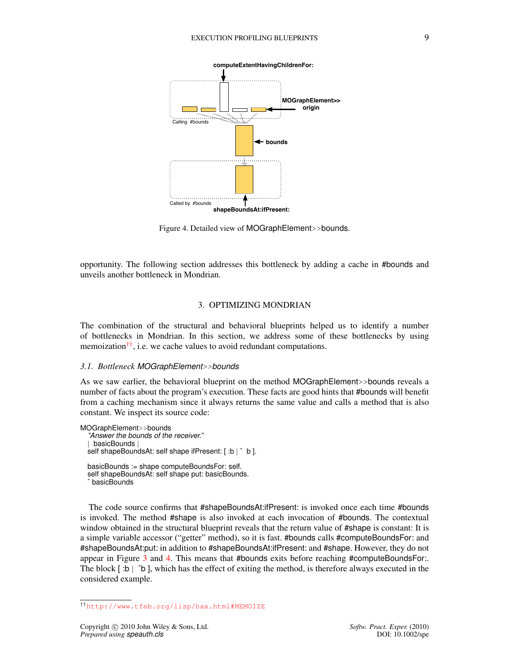<span id="page-8-1"></span>

Figure 4. Detailed view of MOGraphElement>>bounds.

opportunity. The following section addresses this bottleneck by adding a cache in #bounds and unveils another bottleneck in Mondrian.

# 3. OPTIMIZING MONDRIAN

<span id="page-8-0"></span>The combination of the structural and behavioral blueprints helped us to identify a number of bottlenecks in Mondrian. In this section, we address some of these bottlenecks by using memoization<sup>[††](#page-8-2)</sup>, i.e. we cache values to avoid redundant computations.

#### <span id="page-8-3"></span>*3.1. Bottleneck MOGraphElement*>>*bounds*

As we saw earlier, the behavioral blueprint on the method MOGraphElement>>bounds reveals a number of facts about the program's execution. These facts are good hints that #bounds will benefit from a caching mechanism since it always returns the same value and calls a method that is also constant. We inspect its source code:

```
MOGraphElement>>bounds
  "Answer the bounds of the receiver."
  | basicBounds |
  self shapeBoundsAt: self shape ifPresent: [ :b | ^ b ].
  basicBounds := shape computeBoundsFor: self.
  self shapeBoundsAt: self shape put: basicBounds.
  ˆ basicBounds
```
The code source confirms that #shapeBoundsAt:ifPresent: is invoked once each time #bounds is invoked. The method #shape is also invoked at each invocation of #bounds. The contextual window obtained in the structural blueprint reveals that the return value of #shape is constant: It is a simple variable accessor ("getter" method), so it is fast. #bounds calls #computeBoundsFor: and #shapeBoundsAt:put: in addition to #shapeBoundsAt:ifPresent: and #shape. However, they do not appear in Figure [3](#page-7-0) and [4.](#page-8-1) This means that #bounds exits before reaching #computeBoundsFor:. The block  $\lceil$  :b  $\rceil$   $\lceil$  b  $\rceil$ , which has the effect of exiting the method, is therefore always executed in the considered example.

<span id="page-8-2"></span><sup>††</sup><http://www.tfeb.org/lisp/hax.html#MEMOIZE>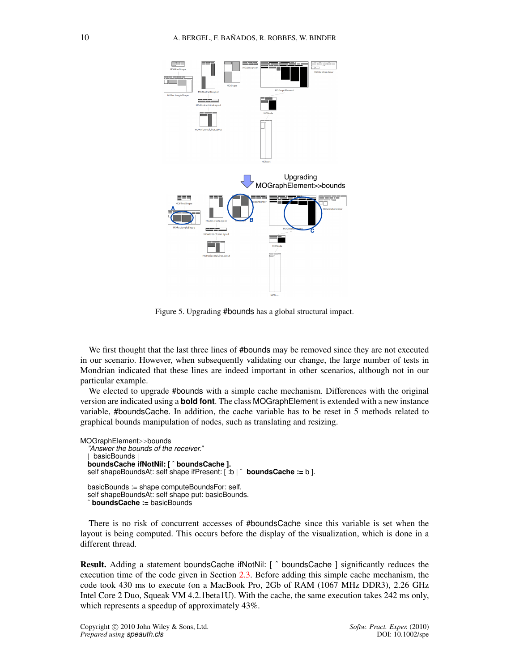<span id="page-9-0"></span>

Figure 5. Upgrading #bounds has a global structural impact.

We first thought that the last three lines of #bounds may be removed since they are not executed in our scenario. However, when subsequently validating our change, the large number of tests in Mondrian indicated that these lines are indeed important in other scenarios, although not in our particular example.

We elected to upgrade #bounds with a simple cache mechanism. Differences with the original version are indicated using a **bold font**. The class MOGraphElement is extended with a new instance variable, #boundsCache. In addition, the cache variable has to be reset in 5 methods related to graphical bounds manipulation of nodes, such as translating and resizing.

```
MOGraphElement>>bounds
  "Answer the bounds of the receiver."
   basicBounds
  boundsCache ifNotNil: [ ˆ boundsCache ].
  self shapeBoundsAt: self shape ifPresent: [ :b | ˆ boundsCache := b ].
  basicBounds := shape computeBoundsFor: self.
  self shapeBoundsAt: self shape put: basicBounds.
  ˆ boundsCache := basicBounds
```
There is no risk of concurrent accesses of #boundsCache since this variable is set when the layout is being computed. This occurs before the display of the visualization, which is done in a different thread.

Result. Adding a statement boundsCache ifNotNil: [ ˆ boundsCache ] significantly reduces the execution time of the code given in Section [2.3.](#page-3-1) Before adding this simple cache mechanism, the code took 430 ms to execute (on a MacBook Pro, 2Gb of RAM (1067 MHz DDR3), 2.26 GHz Intel Core 2 Duo, Squeak VM 4.2.1beta1U). With the cache, the same execution takes 242 ms only, which represents a speedup of approximately 43%.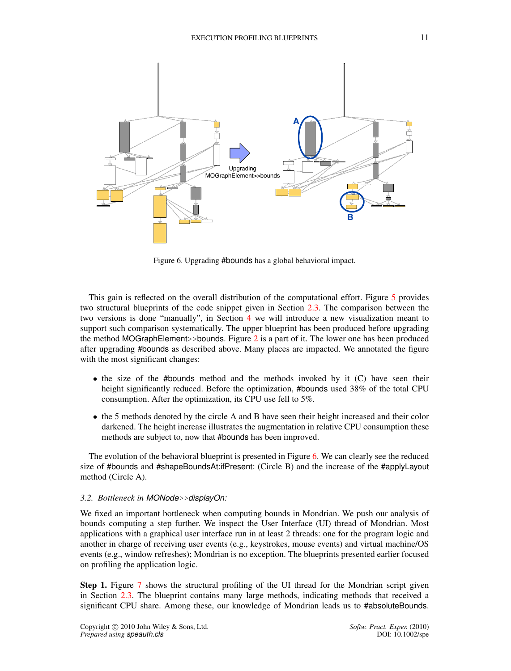<span id="page-10-0"></span>

Figure 6. Upgrading #bounds has a global behavioral impact.

This gain is reflected on the overall distribution of the computational effort. Figure [5](#page-9-0) provides two structural blueprints of the code snippet given in Section [2.3.](#page-3-1) The comparison between the two versions is done "manually", in Section [4](#page-14-0) we will introduce a new visualization meant to support such comparison systematically. The upper blueprint has been produced before upgrading the method MOGraphElement>>bounds. Figure [2](#page-4-0) is a part of it. The lower one has been produced after upgrading #bounds as described above. Many places are impacted. We annotated the figure with the most significant changes:

- the size of the #bounds method and the methods invoked by it (C) have seen their height significantly reduced. Before the optimization, #bounds used 38% of the total CPU consumption. After the optimization, its CPU use fell to 5%.
- the 5 methods denoted by the circle A and B have seen their height increased and their color darkened. The height increase illustrates the augmentation in relative CPU consumption these methods are subject to, now that #bounds has been improved.

The evolution of the behavioral blueprint is presented in Figure [6.](#page-10-0) We can clearly see the reduced size of #bounds and #shapeBoundsAt:ifPresent: (Circle B) and the increase of the #applyLayout method (Circle A).

#### <span id="page-10-1"></span>*3.2. Bottleneck in MONode*>>*displayOn:*

We fixed an important bottleneck when computing bounds in Mondrian. We push our analysis of bounds computing a step further. We inspect the User Interface (UI) thread of Mondrian. Most applications with a graphical user interface run in at least 2 threads: one for the program logic and another in charge of receiving user events (e.g., keystrokes, mouse events) and virtual machine/OS events (e.g., window refreshes); Mondrian is no exception. The blueprints presented earlier focused on profiling the application logic.

Step 1. Figure [7](#page-11-0) shows the structural profiling of the UI thread for the Mondrian script given in Section [2.3.](#page-3-1) The blueprint contains many large methods, indicating methods that received a significant CPU share. Among these, our knowledge of Mondrian leads us to #absoluteBounds.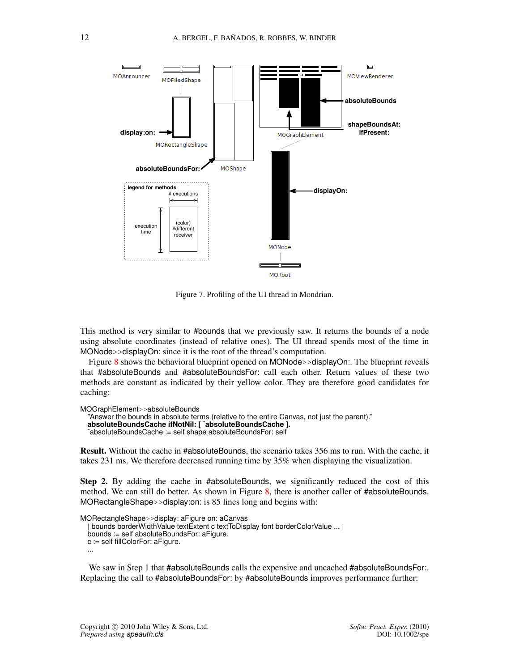<span id="page-11-0"></span>

Figure 7. Profiling of the UI thread in Mondrian.

This method is very similar to #bounds that we previously saw. It returns the bounds of a node using absolute coordinates (instead of relative ones). The UI thread spends most of the time in MONode>>displayOn: since it is the root of the thread's computation.

Figure [8](#page-12-0) shows the behavioral blueprint opened on MONode>>displayOn:. The blueprint reveals that #absoluteBounds and #absoluteBoundsFor: call each other. Return values of these two methods are constant as indicated by their yellow color. They are therefore good candidates for caching:

```
MOGraphElement>>absoluteBounds
```

```
"Answer the bounds in absolute terms (relative to the entire Canvas, not just the parent)."
absoluteBoundsCache ifNotNil: [ ˆabsoluteBoundsCache ].
ˆabsoluteBoundsCache := self shape absoluteBoundsFor: self
```
Result. Without the cache in #absoluteBounds, the scenario takes 356 ms to run. With the cache, it takes 231 ms. We therefore decreased running time by 35% when displaying the visualization.

Step 2. By adding the cache in #absoluteBounds, we significantly reduced the cost of this method. We can still do better. As shown in Figure [8,](#page-12-0) there is another caller of #absoluteBounds. MORectangleShape>>display:on: is 85 lines long and begins with:

```
MORectangleShape>>display: aFigure on: aCanvas
  | bounds borderWidthValue textExtent c textToDisplay font borderColorValue ... |
  bounds := self absoluteBoundsFor: aFigure.
  c := self fillColorFor: aFigure.
  ...
```
We saw in Step 1 that #absoluteBounds calls the expensive and uncached #absoluteBoundsFor:. Replacing the call to #absoluteBoundsFor: by #absoluteBounds improves performance further: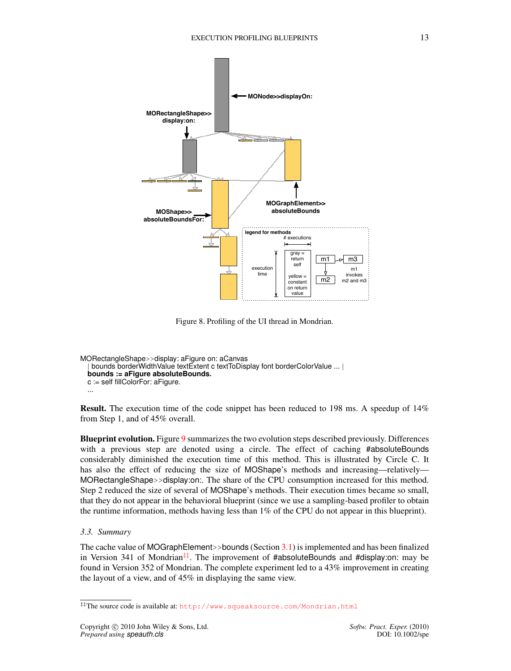<span id="page-12-0"></span>

Figure 8. Profiling of the UI thread in Mondrian.

```
MORectangleShape>>display: aFigure on: aCanvas
   | bounds borderWidthValue textExtent c textToDisplay font borderColorValue ... |
  bounds := aFigure absoluteBounds.
  c := self fillColorFor: aFigure.
  ...
```
Result. The execution time of the code snippet has been reduced to 198 ms. A speedup of 14% from Step 1, and of 45% overall.

Blueprint evolution. Figure [9](#page-13-0) summarizes the two evolution steps described previously. Differences with a previous step are denoted using a circle. The effect of caching #absoluteBounds considerably diminished the execution time of this method. This is illustrated by Circle C. It has also the effect of reducing the size of MOShape's methods and increasing—relatively— MORectangleShape>>display:on:. The share of the CPU consumption increased for this method. Step 2 reduced the size of several of MOShape's methods. Their execution times became so small, that they do not appear in the behavioral blueprint (since we use a sampling-based profiler to obtain the runtime information, methods having less than 1% of the CPU do not appear in this blueprint).

# *3.3. Summary*

The cache value of MOGraphElement>>bounds (Section  $3.1$ ) is implemented and has been finalized in Version 341 of Mondrian<sup>[‡‡](#page-12-1)</sup>. The improvement of #absoluteBounds and #display:on: may be found in Version 352 of Mondrian. The complete experiment led to a 43% improvement in creating the layout of a view, and of 45% in displaying the same view.

<span id="page-12-1"></span><sup>‡‡</sup>The source code is available at: <http://www.squeaksource.com/Mondrian.html>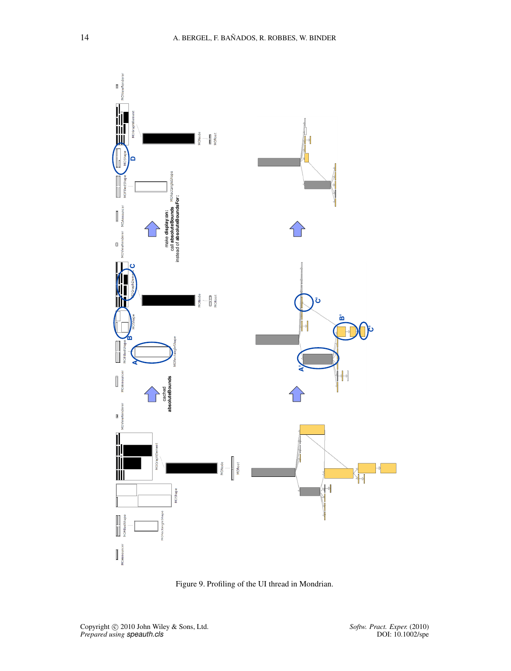<span id="page-13-0"></span>

Figure 9. Profiling of the UI thread in Mondrian.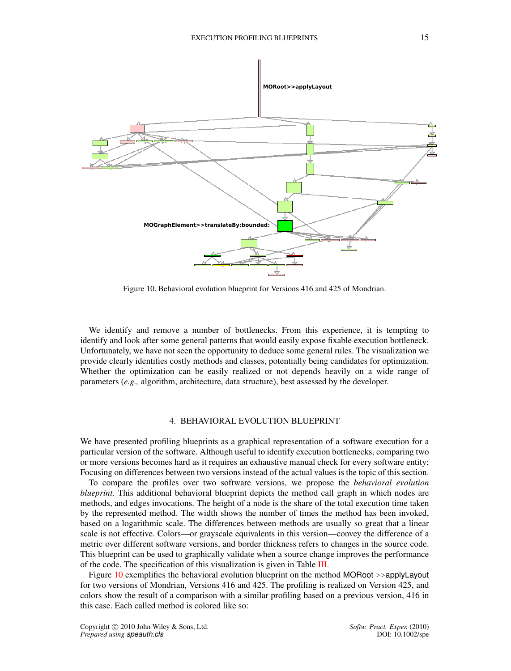<span id="page-14-1"></span>

Figure 10. Behavioral evolution blueprint for Versions 416 and 425 of Mondrian.

We identify and remove a number of bottlenecks. From this experience, it is tempting to identify and look after some general patterns that would easily expose fixable execution bottleneck. Unfortunately, we have not seen the opportunity to deduce some general rules. The visualization we provide clearly identifies costly methods and classes, potentially being candidates for optimization. Whether the optimization can be easily realized or not depends heavily on a wide range of parameters (*e.g.,* algorithm, architecture, data structure), best assessed by the developer.

# 4. BEHAVIORAL EVOLUTION BLUEPRINT

<span id="page-14-0"></span>We have presented profiling blueprints as a graphical representation of a software execution for a particular version of the software. Although useful to identify execution bottlenecks, comparing two or more versions becomes hard as it requires an exhaustive manual check for every software entity; Focusing on differences between two versions instead of the actual values is the topic of this section.

To compare the profiles over two software versions, we propose the *behavioral evolution blueprint*. This additional behavioral blueprint depicts the method call graph in which nodes are methods, and edges invocations. The height of a node is the share of the total execution time taken by the represented method. The width shows the number of times the method has been invoked, based on a logarithmic scale. The differences between methods are usually so great that a linear scale is not effective. Colors—or grayscale equivalents in this version—convey the difference of a metric over different software versions, and border thickness refers to changes in the source code. This blueprint can be used to graphically validate when a source change improves the performance of the code. The specification of this visualization is given in Table [III.](#page-15-0)

Figure [10](#page-14-1) exemplifies the behavioral evolution blueprint on the method MORoot >>applyLayout for two versions of Mondrian, Versions 416 and 425. The profiling is realized on Version 425, and colors show the result of a comparison with a similar profiling based on a previous version, 416 in this case. Each called method is colored like so: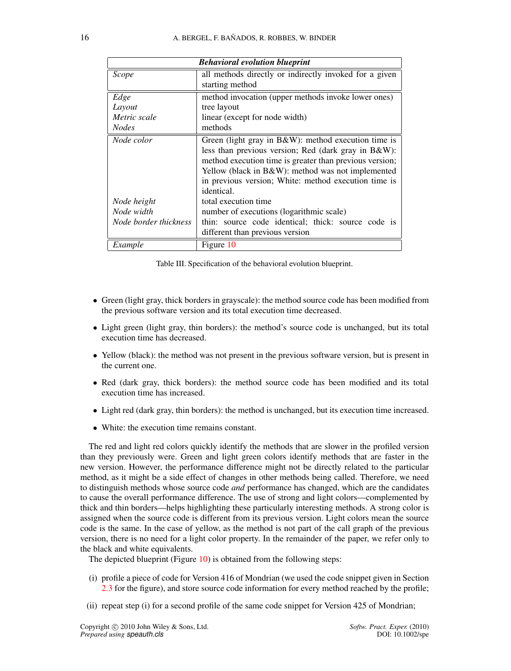<span id="page-15-0"></span>

| <b>Behavioral evolution blueprint</b> |                                                         |  |  |
|---------------------------------------|---------------------------------------------------------|--|--|
| Scope                                 | all methods directly or indirectly invoked for a given  |  |  |
|                                       | starting method                                         |  |  |
| Edge                                  | method invocation (upper methods invoke lower ones)     |  |  |
| Layout                                | tree layout                                             |  |  |
| Metric scale                          | linear (except for node width)                          |  |  |
| <b>Nodes</b>                          | methods                                                 |  |  |
| Node color                            | Green (light gray in $B&W$ ): method execution time is  |  |  |
|                                       | less than previous version; Red (dark gray in B&W):     |  |  |
|                                       | method execution time is greater than previous version; |  |  |
|                                       | Yellow (black in B&W): method was not implemented       |  |  |
|                                       | in previous version; White: method execution time is    |  |  |
|                                       | identical.                                              |  |  |
| Node height                           | total execution time                                    |  |  |
| Node width                            | number of executions (logarithmic scale)                |  |  |
| Node border thickness                 | thin: source code identical; thick: source code is      |  |  |
|                                       | different than previous version                         |  |  |
| Example                               | Figure 10                                               |  |  |

Table III. Specification of the behavioral evolution blueprint.

- Green (light gray, thick borders in grayscale): the method source code has been modified from the previous software version and its total execution time decreased.
- Light green (light gray, thin borders): the method's source code is unchanged, but its total execution time has decreased.
- Yellow (black): the method was not present in the previous software version, but is present in the current one.
- Red (dark gray, thick borders): the method source code has been modified and its total execution time has increased.
- Light red (dark gray, thin borders): the method is unchanged, but its execution time increased.
- White: the execution time remains constant.

The red and light red colors quickly identify the methods that are slower in the profiled version than they previously were. Green and light green colors identify methods that are faster in the new version. However, the performance difference might not be directly related to the particular method, as it might be a side effect of changes in other methods being called. Therefore, we need to distinguish methods whose source code *and* performance has changed, which are the candidates to cause the overall performance difference. The use of strong and light colors—complemented by thick and thin borders—helps highlighting these particularly interesting methods. A strong color is assigned when the source code is different from its previous version. Light colors mean the source code is the same. In the case of yellow, as the method is not part of the call graph of the previous version, there is no need for a light color property. In the remainder of the paper, we refer only to the black and white equivalents.

The depicted blueprint (Figure [10\)](#page-14-1) is obtained from the following steps:

- (i) profile a piece of code for Version 416 of Mondrian (we used the code snippet given in Section [2.3](#page-3-1) for the figure), and store source code information for every method reached by the profile;
- (ii) repeat step (i) for a second profile of the same code snippet for Version 425 of Mondrian;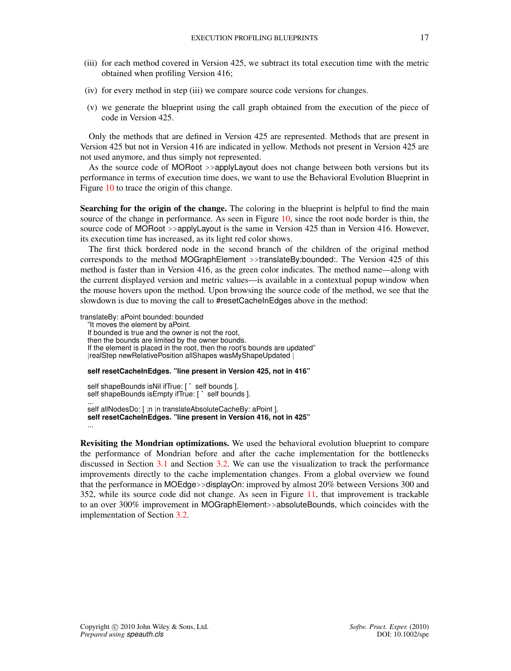- (iii) for each method covered in Version 425, we subtract its total execution time with the metric obtained when profiling Version 416;
- (iv) for every method in step (iii) we compare source code versions for changes.
- (v) we generate the blueprint using the call graph obtained from the execution of the piece of code in Version 425.

Only the methods that are defined in Version 425 are represented. Methods that are present in Version 425 but not in Version 416 are indicated in yellow. Methods not present in Version 425 are not used anymore, and thus simply not represented.

As the source code of MORoot >>applyLayout does not change between both versions but its performance in terms of execution time does, we want to use the Behavioral Evolution Blueprint in Figure [10](#page-14-1) to trace the origin of this change.

Searching for the origin of the change. The coloring in the blueprint is helpful to find the main source of the change in performance. As seen in Figure [10,](#page-14-1) since the root node border is thin, the source code of MORoot >>applyLayout is the same in Version 425 than in Version 416. However, its execution time has increased, as its light red color shows.

The first thick bordered node in the second branch of the children of the original method corresponds to the method MOGraphElement >>translateBy:bounded:. The Version 425 of this method is faster than in Version 416, as the green color indicates. The method name—along with the current displayed version and metric values—is available in a contextual popup window when the mouse hovers upon the method. Upon browsing the source code of the method, we see that the slowdown is due to moving the call to #resetCacheInEdges above in the method:

translateBy: aPoint bounded: bounded

"It moves the element by aPoint. If bounded is true and the owner is not the root, then the bounds are limited by the owner bounds. If the element is placed in the root, then the root's bounds are updated" |realStep newRelativePosition allShapes wasMyShapeUpdated |

#### **self resetCacheInEdges. "line present in Version 425, not in 416"**

self shapeBounds isNil ifTrue: [  $\hat{ }$  self bounds ]. self shapeBounds isEmpty ifTrue: [  $\hat{ }$  self bounds ]. ... self allNodesDo: [ :n |n translateAbsoluteCacheBy: aPoint ].

**self resetCacheInEdges. "line present in Version 416, not in 425"** ...

Revisiting the Mondrian optimizations. We used the behavioral evolution blueprint to compare the performance of Mondrian before and after the cache implementation for the bottlenecks discussed in Section [3.1](#page-8-3) and Section [3.2.](#page-10-1) We can use the visualization to track the performance improvements directly to the cache implementation changes. From a global overview we found that the performance in MOEdge>>displayOn: improved by almost 20% between Versions 300 and 352, while its source code did not change. As seen in Figure [11,](#page-17-0) that improvement is trackable to an over 300% improvement in MOGraphElement>>absoluteBounds, which coincides with the implementation of Section [3.2.](#page-10-1)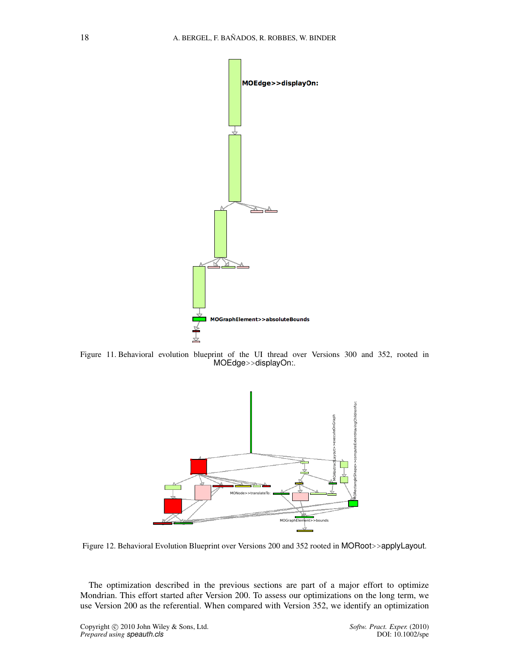<span id="page-17-0"></span>

<span id="page-17-1"></span>Figure 11. Behavioral evolution blueprint of the UI thread over Versions 300 and 352, rooted in MOEdge>>displayOn:.



Figure 12. Behavioral Evolution Blueprint over Versions 200 and 352 rooted in MORoot>>applyLayout.

The optimization described in the previous sections are part of a major effort to optimize Mondrian. This effort started after Version 200. To assess our optimizations on the long term, we use Version 200 as the referential. When compared with Version 352, we identify an optimization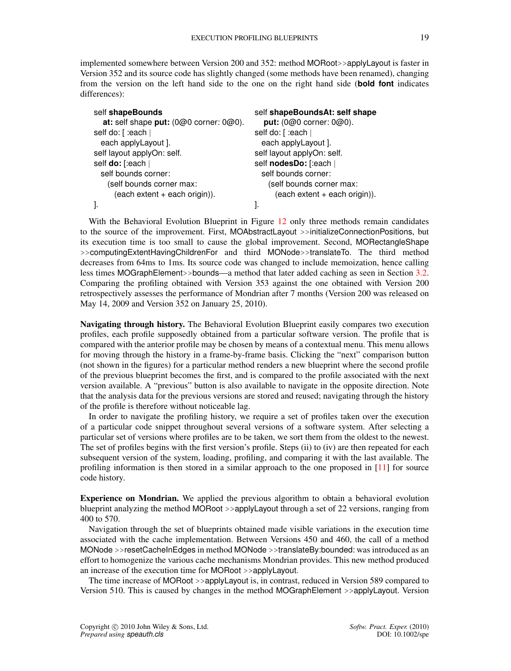implemented somewhere between Version 200 and 352: method MORoot>>applyLayout is faster in Version 352 and its source code has slightly changed (some methods have been renamed), changing from the version on the left hand side to the one on the right hand side (**bold font** indicates differences):

| self shapeBounds                       | self shapeBoundsAt: self shape |
|----------------------------------------|--------------------------------|
| at: self shape put: (0@0 corner: 0@0). | put: (0@0 corner: 0@0).        |
| self do: [ :each                       | self do: [ :each               |
| each applyLayout ].                    | each applyLayout ].            |
| self layout applyOn: self.             | self layout applyOn: self.     |
| self do: [:each                        | self nodesDo: [:each           |
| self bounds corner:                    | self bounds corner:            |
| (self bounds corner max:               | (self bounds corner max:       |
| (each extent + each origin)).          | (each extent + each origin)).  |
|                                        |                                |

With the Behavioral Evolution Blueprint in Figure [12](#page-17-1) only three methods remain candidates to the source of the improvement. First, MOAbstractLayout >>initializeConnectionPositions, but its execution time is too small to cause the global improvement. Second, MORectangleShape >>computingExtentHavingChildrenFor and third MONode>>translateTo. The third method decreases from 64ms to 1ms. Its source code was changed to include memoization, hence calling less times MOGraphElement>>bounds—a method that later added caching as seen in Section [3.2.](#page-10-1) Comparing the profiling obtained with Version 353 against the one obtained with Version 200 retrospectively assesses the performance of Mondrian after 7 months (Version 200 was released on May 14, 2009 and Version 352 on January 25, 2010).

Navigating through history. The Behavioral Evolution Blueprint easily compares two execution profiles, each profile supposedly obtained from a particular software version. The profile that is compared with the anterior profile may be chosen by means of a contextual menu. This menu allows for moving through the history in a frame-by-frame basis. Clicking the "next" comparison button (not shown in the figures) for a particular method renders a new blueprint where the second profile of the previous blueprint becomes the first, and is compared to the profile associated with the next version available. A "previous" button is also available to navigate in the opposite direction. Note that the analysis data for the previous versions are stored and reused; navigating through the history of the profile is therefore without noticeable lag.

In order to navigate the profiling history, we require a set of profiles taken over the execution of a particular code snippet throughout several versions of a software system. After selecting a particular set of versions where profiles are to be taken, we sort them from the oldest to the newest. The set of profiles begins with the first version's profile. Steps (ii) to (iv) are then repeated for each subsequent version of the system, loading, profiling, and comparing it with the last available. The profiling information is then stored in a similar approach to the one proposed in [\[11\]](#page-27-10) for source code history.

Experience on Mondrian. We applied the previous algorithm to obtain a behavioral evolution blueprint analyzing the method MORoot >>applyLayout through a set of 22 versions, ranging from 400 to 570.

Navigation through the set of blueprints obtained made visible variations in the execution time associated with the cache implementation. Between Versions 450 and 460, the call of a method MONode >>resetCacheInEdges in method MONode >>translateBy:bounded: was introduced as an effort to homogenize the various cache mechanisms Mondrian provides. This new method produced an increase of the execution time for MORoot >>applyLayout.

The time increase of MORoot >>applyLayout is, in contrast, reduced in Version 589 compared to Version 510. This is caused by changes in the method MOGraphElement >>applyLayout. Version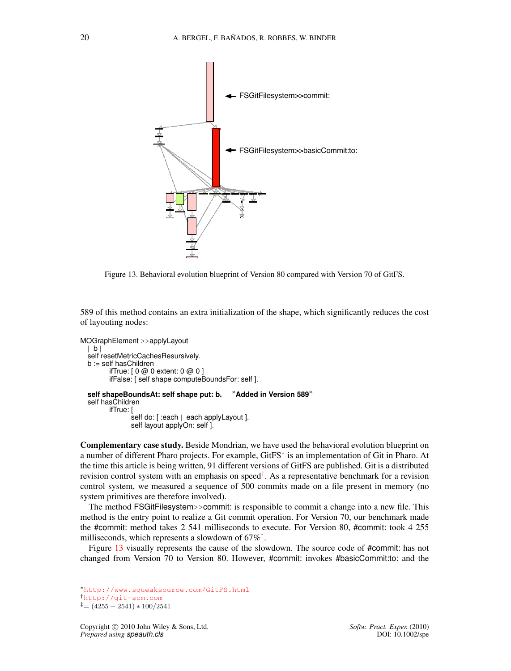<span id="page-19-3"></span>

Figure 13. Behavioral evolution blueprint of Version 80 compared with Version 70 of GitFS.

589 of this method contains an extra initialization of the shape, which significantly reduces the cost of layouting nodes:

```
MOGraphElement >>applyLayout
  | b |self resetMetricCachesResursively.
  b := self hasChildren
        ifTrue: [ 0 @ 0 extent: 0 @ 0 ]
        ifFalse: [ self shape computeBoundsFor: self ].
  self shapeBoundsAt: self shape put: b. "Added in Version 589"
  self hasChildren
        ifTrue: [
               self do: [ :each | each applyLayout ].
               self layout applyOn: self ].
```
Complementary case study. Beside Mondrian, we have used the behavioral evolution blueprint on a number of different Pharo projects. For example, GitFS<sup>\*</sup> is an implementation of Git in Pharo. At the time this article is being written, 91 different versions of GitFS are published. Git is a distributed revision control system with an emphasis on speed<sup>[†](#page-19-1)</sup>. As a representative benchmark for a revision control system, we measured a sequence of 500 commits made on a file present in memory (no system primitives are therefore involved).

The method FSGitFilesystem>>commit: is responsible to commit a change into a new file. This method is the entry point to realize a Git commit operation. For Version 70, our benchmark made the #commit: method takes 2 541 milliseconds to execute. For Version 80, #commit: took 4 255 milliseconds, which represents a slowdown of  $67\%^{\ddagger}$ .

Figure [13](#page-19-3) visually represents the cause of the slowdown. The source code of #commit: has not changed from Version 70 to Version 80. However, #commit: invokes #basicCommit:to: and the

<span id="page-19-0"></span><sup>∗</sup><http://www.squeaksource.com/GitFS.html>

<span id="page-19-1"></span><sup>†</sup><http://git-scm.com>

<span id="page-19-2"></span> $\overline{ }=(4255-2541)*100/2541$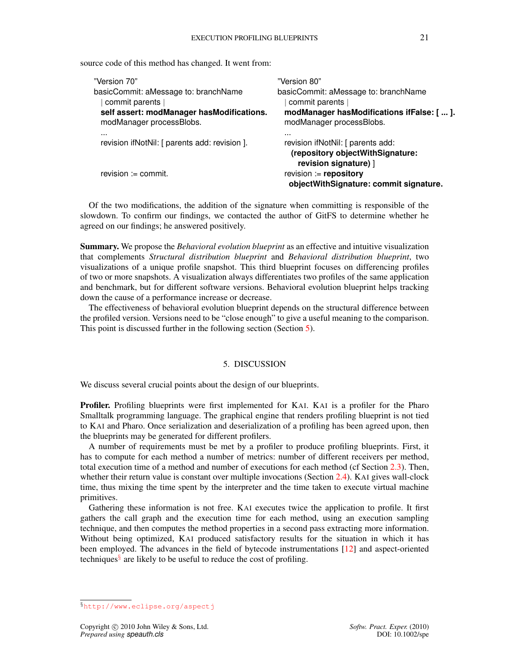source code of this method has changed. It went from:

| "Version 70"<br>basicCommit: aMessage to: branchName<br>commit parents<br>self assert: modManager hasModifications.<br>modManager processBlobs. | "Version 80"<br>basicCommit: aMessage to: branchName<br>commit parents  <br>modManager hasModifications ifFalse: [  ].<br>modManager processBlobs. |
|-------------------------------------------------------------------------------------------------------------------------------------------------|----------------------------------------------------------------------------------------------------------------------------------------------------|
| <br>revision ifNotNil: [ parents add: revision ].                                                                                               | <br>revision ifNotNil: [ parents add:<br>(repository objectWithSignature:<br>revision signature)                                                   |
| $revision := commit.$                                                                                                                           | $revision := repository$<br>objectWithSignature: commit signature.                                                                                 |

Of the two modifications, the addition of the signature when committing is responsible of the slowdown. To confirm our findings, we contacted the author of GitFS to determine whether he agreed on our findings; he answered positively.

Summary. We propose the *Behavioral evolution blueprint* as an effective and intuitive visualization that complements *Structural distribution blueprint* and *Behavioral distribution blueprint*, two visualizations of a unique profile snapshot. This third blueprint focuses on differencing profiles of two or more snapshots. A visualization always differentiates two profiles of the same application and benchmark, but for different software versions. Behavioral evolution blueprint helps tracking down the cause of a performance increase or decrease.

The effectiveness of behavioral evolution blueprint depends on the structural difference between the profiled version. Versions need to be "close enough" to give a useful meaning to the comparison. This point is discussed further in the following section (Section [5\)](#page-20-0).

## 5. DISCUSSION

<span id="page-20-0"></span>We discuss several crucial points about the design of our blueprints.

Profiler. Profiling blueprints were first implemented for KAI. KAI is a profiler for the Pharo Smalltalk programming language. The graphical engine that renders profiling blueprint is not tied to KAI and Pharo. Once serialization and deserialization of a profiling has been agreed upon, then the blueprints may be generated for different profilers.

A number of requirements must be met by a profiler to produce profiling blueprints. First, it has to compute for each method a number of metrics: number of different receivers per method, total execution time of a method and number of executions for each method (cf Section [2.3\)](#page-3-1). Then, whether their return value is constant over multiple invocations (Section [2.4\)](#page-5-0). KAI gives wall-clock time, thus mixing the time spent by the interpreter and the time taken to execute virtual machine primitives.

Gathering these information is not free. KAI executes twice the application to profile. It first gathers the call graph and the execution time for each method, using an execution sampling technique, and then computes the method properties in a second pass extracting more information. Without being optimized, KAI produced satisfactory results for the situation in which it has been employed. The advances in the field of bytecode instrumentations [\[12\]](#page-27-11) and aspect-oriented techniques $\frac{8}{3}$  are likely to be useful to reduce the cost of profiling.

<span id="page-20-1"></span><sup>§</sup><http://www.eclipse.org/aspectj>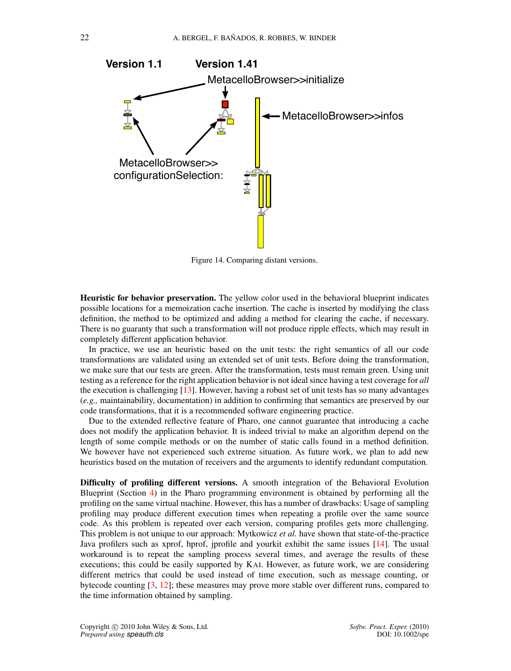<span id="page-21-0"></span>

Figure 14. Comparing distant versions.

Heuristic for behavior preservation. The yellow color used in the behavioral blueprint indicates possible locations for a memoization cache insertion. The cache is inserted by modifying the class definition, the method to be optimized and adding a method for clearing the cache, if necessary. There is no guaranty that such a transformation will not produce ripple effects, which may result in completely different application behavior.

In practice, we use an heuristic based on the unit tests: the right semantics of all our code transformations are validated using an extended set of unit tests. Before doing the transformation, we make sure that our tests are green. After the transformation, tests must remain green. Using unit testing as a reference for the right application behavior is not ideal since having a test coverage for *all* the execution is challenging [\[13\]](#page-27-12). However, having a robust set of unit tests has so many advantages (*e.g.,* maintainability, documentation) in addition to confirming that semantics are preserved by our code transformations, that it is a recommended software engineering practice.

Due to the extended reflective feature of Pharo, one cannot guarantee that introducing a cache does not modify the application behavior. It is indeed trivial to make an algorithm depend on the length of some compile methods or on the number of static calls found in a method definition. We however have not experienced such extreme situation. As future work, we plan to add new heuristics based on the mutation of receivers and the arguments to identify redundant computation.

Difficulty of profiling different versions. A smooth integration of the Behavioral Evolution Blueprint (Section [4\)](#page-14-0) in the Pharo programming environment is obtained by performing all the profiling on the same virtual machine. However, this has a number of drawbacks: Usage of sampling profiling may produce different execution times when repeating a profile over the same source code. As this problem is repeated over each version, comparing profiles gets more challenging. This problem is not unique to our approach: Mytkowicz *et al.* have shown that state-of-the-practice Java profilers such as xprof, hprof, jprofile and yourkit exhibit the same issues [\[14\]](#page-27-13). The usual workaround is to repeat the sampling process several times, and average the results of these executions; this could be easily supported by KAI. However, as future work, we are considering different metrics that could be used instead of time execution, such as message counting, or bytecode counting [\[3,](#page-27-2) [12\]](#page-27-11); these measures may prove more stable over different runs, compared to the time information obtained by sampling.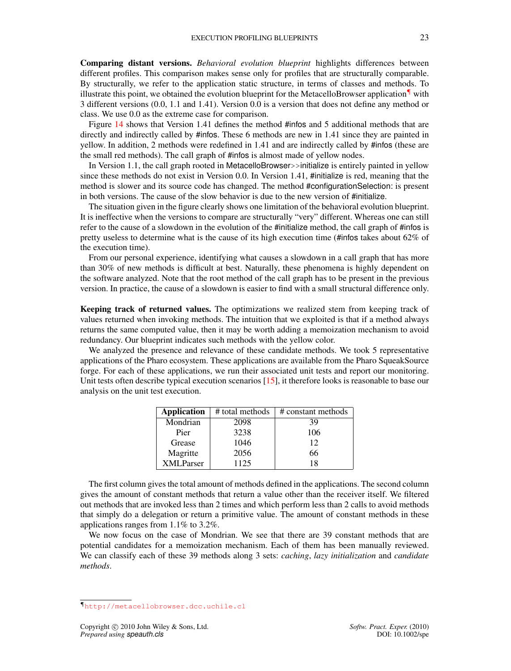Comparing distant versions. *Behavioral evolution blueprint* highlights differences between different profiles. This comparison makes sense only for profiles that are structurally comparable. By structurally, we refer to the application static structure, in terms of classes and methods. To illustrate this point, we obtained the evolution blueprint for the MetacelloBrowser application<sup>[¶](#page-22-0)</sup> with 3 different versions (0.0, 1.1 and 1.41). Version 0.0 is a version that does not define any method or class. We use 0.0 as the extreme case for comparison.

Figure [14](#page-21-0) shows that Version 1.41 defines the method #infos and 5 additional methods that are directly and indirectly called by #infos. These 6 methods are new in 1.41 since they are painted in yellow. In addition, 2 methods were redefined in 1.41 and are indirectly called by #infos (these are the small red methods). The call graph of #infos is almost made of yellow nodes.

In Version 1.1, the call graph rooted in MetacelloBrowser>>initialize is entirely painted in yellow since these methods do not exist in Version 0.0. In Version 1.41, #initialize is red, meaning that the method is slower and its source code has changed. The method #configurationSelection: is present in both versions. The cause of the slow behavior is due to the new version of #initialize.

The situation given in the figure clearly shows one limitation of the behavioral evolution blueprint. It is ineffective when the versions to compare are structurally "very" different. Whereas one can still refer to the cause of a slowdown in the evolution of the #initialize method, the call graph of #infos is pretty useless to determine what is the cause of its high execution time (#infos takes about 62% of the execution time).

From our personal experience, identifying what causes a slowdown in a call graph that has more than 30% of new methods is difficult at best. Naturally, these phenomena is highly dependent on the software analyzed. Note that the root method of the call graph has to be present in the previous version. In practice, the cause of a slowdown is easier to find with a small structural difference only.

Keeping track of returned values. The optimizations we realized stem from keeping track of values returned when invoking methods. The intuition that we exploited is that if a method always returns the same computed value, then it may be worth adding a memoization mechanism to avoid redundancy. Our blueprint indicates such methods with the yellow color.

We analyzed the presence and relevance of these candidate methods. We took 5 representative applications of the Pharo ecosystem. These applications are available from the Pharo SqueakSource forge. For each of these applications, we run their associated unit tests and report our monitoring. Unit tests often describe typical execution scenarios [\[15\]](#page-27-14), it therefore looks is reasonable to base our analysis on the unit test execution.

| <b>Application</b> | # total methods | # constant methods |
|--------------------|-----------------|--------------------|
| Mondrian           | 2098            | 39                 |
| Pier               | 3238            | 106                |
| Grease             | 1046            | 12                 |
| Magritte           | 2056            | 66                 |
| <b>XMLParser</b>   | 1125            | 18                 |

The first column gives the total amount of methods defined in the applications. The second column gives the amount of constant methods that return a value other than the receiver itself. We filtered out methods that are invoked less than 2 times and which perform less than 2 calls to avoid methods that simply do a delegation or return a primitive value. The amount of constant methods in these applications ranges from 1.1% to 3.2%.

We now focus on the case of Mondrian. We see that there are 39 constant methods that are potential candidates for a memoization mechanism. Each of them has been manually reviewed. We can classify each of these 39 methods along 3 sets: *caching*, *lazy initialization* and *candidate methods*.

<span id="page-22-0"></span><sup>¶</sup><http://metacellobrowser.dcc.uchile.cl>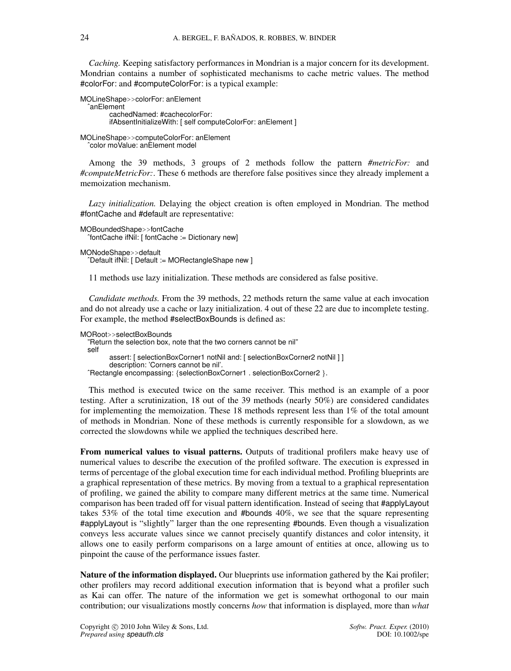*Caching.* Keeping satisfactory performances in Mondrian is a major concern for its development. Mondrian contains a number of sophisticated mechanisms to cache metric values. The method #colorFor: and #computeColorFor: is a typical example:

```
MOLineShape>>colorFor: anElement
  ˆanElement
        cachedNamed: #cachecolorFor:
        ifAbsentInitializeWith: [ self computeColorFor: anElement ]
```

```
MOLineShape>>computeColorFor: anElement
  ˆcolor moValue: anElement model
```
Among the 39 methods, 3 groups of 2 methods follow the pattern *#metricFor:* and *#computeMetricFor:*. These 6 methods are therefore false positives since they already implement a memoization mechanism.

*Lazy initialization.* Delaying the object creation is often employed in Mondrian. The method #fontCache and #default are representative:

```
MOBoundedShape>>fontCache
  ˆfontCache ifNil: [ fontCache := Dictionary new]
```

```
MONodeShape>>default
```
ˆDefault ifNil: [ Default := MORectangleShape new ]

11 methods use lazy initialization. These methods are considered as false positive.

*Candidate methods.* From the 39 methods, 22 methods return the same value at each invocation and do not already use a cache or lazy initialization. 4 out of these 22 are due to incomplete testing. For example, the method #selectBoxBounds is defined as:

```
MORoot>>selectBoxBounds
  "Return the selection box, note that the two corners cannot be nil"
  self
        assert: [ selectionBoxCorner1 notNil and: [ selectionBoxCorner2 notNil ] ]
        description: 'Corners cannot be nil'.
  ˆRectangle encompassing: {selectionBoxCorner1 . selectionBoxCorner2 }.
```
This method is executed twice on the same receiver. This method is an example of a poor testing. After a scrutinization, 18 out of the 39 methods (nearly 50%) are considered candidates for implementing the memoization. These 18 methods represent less than 1% of the total amount of methods in Mondrian. None of these methods is currently responsible for a slowdown, as we corrected the slowdowns while we applied the techniques described here.

From numerical values to visual patterns. Outputs of traditional profilers make heavy use of numerical values to describe the execution of the profiled software. The execution is expressed in terms of percentage of the global execution time for each individual method. Profiling blueprints are a graphical representation of these metrics. By moving from a textual to a graphical representation of profiling, we gained the ability to compare many different metrics at the same time. Numerical comparison has been traded off for visual pattern identification. Instead of seeing that #applyLayout takes 53% of the total time execution and #bounds 40%, we see that the square representing #applyLayout is "slightly" larger than the one representing #bounds. Even though a visualization conveys less accurate values since we cannot precisely quantify distances and color intensity, it allows one to easily perform comparisons on a large amount of entities at once, allowing us to pinpoint the cause of the performance issues faster.

Nature of the information displayed. Our blueprints use information gathered by the Kai profiler; other profilers may record additional execution information that is beyond what a profiler such as Kai can offer. The nature of the information we get is somewhat orthogonal to our main contribution; our visualizations mostly concerns *how* that information is displayed, more than *what*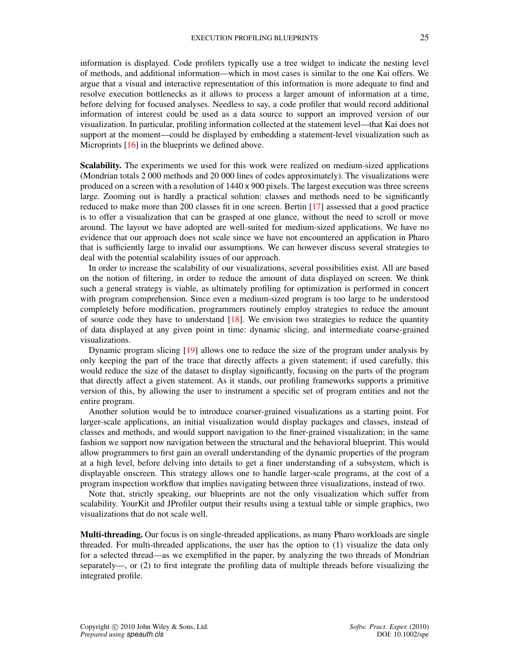information is displayed. Code profilers typically use a tree widget to indicate the nesting level of methods, and additional information—which in most cases is similar to the one Kai offers. We argue that a visual and interactive representation of this information is more adequate to find and resolve execution bottlenecks as it allows to process a larger amount of information at a time, before delving for focused analyses. Needless to say, a code profiler that would record additional information of interest could be used as a data source to support an improved version of our visualization. In particular, profiling information collected at the statement level—that Kai does not support at the moment—could be displayed by embedding a statement-level visualization such as Microprints [\[16\]](#page-27-15) in the blueprints we defined above.

Scalability. The experiments we used for this work were realized on medium-sized applications (Mondrian totals 2 000 methods and 20 000 lines of codes approximately). The visualizations were produced on a screen with a resolution of 1440 x 900 pixels. The largest execution was three screens large. Zooming out is hardly a practical solution: classes and methods need to be significantly reduced to make more than 200 classes fit in one screen. Bertin [\[17\]](#page-27-16) assessed that a good practice is to offer a visualization that can be grasped at one glance, without the need to scroll or move around. The layout we have adopted are well-suited for medium-sized applications. We have no evidence that our approach does not scale since we have not encountered an application in Pharo that is sufficiently large to invalid our assumptions. We can however discuss several strategies to deal with the potential scalability issues of our approach.

In order to increase the scalability of our visualizations, several possibilities exist. All are based on the notion of filtering, in order to reduce the amount of data displayed on screen. We think such a general strategy is viable, as ultimately profiling for optimization is performed in concert with program comprehension. Since even a medium-sized program is too large to be understood completely before modification, programmers routinely employ strategies to reduce the amount of source code they have to understand [\[18\]](#page-27-17). We envision two strategies to reduce the quantity of data displayed at any given point in time: dynamic slicing, and intermediate coarse-grained visualizations.

Dynamic program slicing [\[19\]](#page-27-18) allows one to reduce the size of the program under analysis by only keeping the part of the trace that directly affects a given statement; if used carefully, this would reduce the size of the dataset to display significantly, focusing on the parts of the program that directly affect a given statement. As it stands, our profiling frameworks supports a primitive version of this, by allowing the user to instrument a specific set of program entities and not the entire program.

Another solution would be to introduce coarser-grained visualizations as a starting point. For larger-scale applications, an initial visualization would display packages and classes, instead of classes and methods, and would support navigation to the finer-grained visualization; in the same fashion we support now navigation between the structural and the behavioral blueprint. This would allow programmers to first gain an overall understanding of the dynamic properties of the program at a high level, before delving into details to get a finer understanding of a subsystem, which is displayable onscreen. This strategy allows one to handle larger-scale programs, at the cost of a program inspection workflow that implies navigating between three visualizations, instead of two.

Note that, strictly speaking, our blueprints are not the only visualization which suffer from scalability. YourKit and JProfiler output their results using a textual table or simple graphics, two visualizations that do not scale well.

Multi-threading. Our focus is on single-threaded applications, as many Pharo workloads are single threaded. For multi-threaded applications, the user has the option to (1) visualize the data only for a selected thread—as we exemplified in the paper, by analyzing the two threads of Mondrian separately—, or (2) to first integrate the profiling data of multiple threads before visualizing the integrated profile.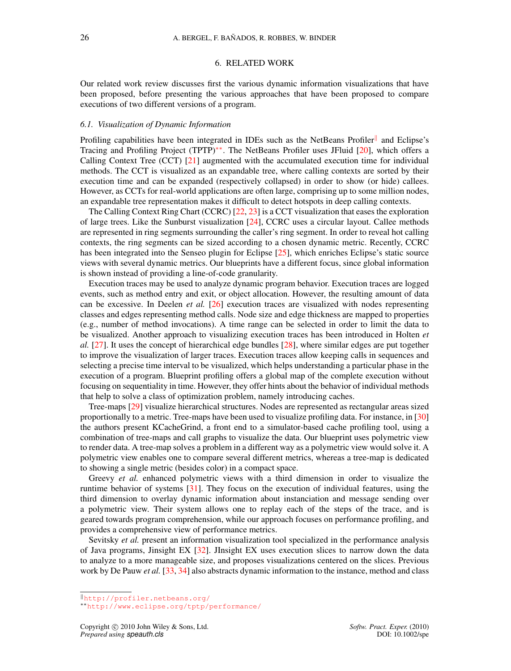#### 6. RELATED WORK

<span id="page-25-0"></span>Our related work review discusses first the various dynamic information visualizations that have been proposed, before presenting the various approaches that have been proposed to compare executions of two different versions of a program.

#### *6.1. Visualization of Dynamic Information*

Profiling capabilities have been integrated in IDEs such as the NetBeans Profiler<sup>||</sup> and Eclipse's Tracing and Profiling Project (TPTP)[∗∗](#page-25-2). The NetBeans Profiler uses JFluid [\[20\]](#page-27-19), which offers a Calling Context Tree (CCT) [\[21\]](#page-27-20) augmented with the accumulated execution time for individual methods. The CCT is visualized as an expandable tree, where calling contexts are sorted by their execution time and can be expanded (respectively collapsed) in order to show (or hide) callees. However, as CCTs for real-world applications are often large, comprising up to some million nodes, an expandable tree representation makes it difficult to detect hotspots in deep calling contexts.

The Calling Context Ring Chart (CCRC) [\[22,](#page-27-21) [23\]](#page-28-0) is a CCT visualization that eases the exploration of large trees. Like the Sunburst visualization [\[24\]](#page-28-1), CCRC uses a circular layout. Callee methods are represented in ring segments surrounding the caller's ring segment. In order to reveal hot calling contexts, the ring segments can be sized according to a chosen dynamic metric. Recently, CCRC has been integrated into the Senseo plugin for Eclipse [\[25\]](#page-28-2), which enriches Eclipse's static source views with several dynamic metrics. Our blueprints have a different focus, since global information is shown instead of providing a line-of-code granularity.

Execution traces may be used to analyze dynamic program behavior. Execution traces are logged events, such as method entry and exit, or object allocation. However, the resulting amount of data can be excessive. In Deelen *et al.* [\[26\]](#page-28-3) execution traces are visualized with nodes representing classes and edges representing method calls. Node size and edge thickness are mapped to properties (e.g., number of method invocations). A time range can be selected in order to limit the data to be visualized. Another approach to visualizing execution traces has been introduced in Holten *et al.* [\[27\]](#page-28-4). It uses the concept of hierarchical edge bundles [\[28\]](#page-28-5), where similar edges are put together to improve the visualization of larger traces. Execution traces allow keeping calls in sequences and selecting a precise time interval to be visualized, which helps understanding a particular phase in the execution of a program. Blueprint profiling offers a global map of the complete execution without focusing on sequentiality in time. However, they offer hints about the behavior of individual methods that help to solve a class of optimization problem, namely introducing caches.

Tree-maps [\[29\]](#page-28-6) visualize hierarchical structures. Nodes are represented as rectangular areas sized proportionally to a metric. Tree-maps have been used to visualize profiling data. For instance, in [\[30\]](#page-28-7) the authors present KCacheGrind, a front end to a simulator-based cache profiling tool, using a combination of tree-maps and call graphs to visualize the data. Our blueprint uses polymetric view to render data. A tree-map solves a problem in a different way as a polymetric view would solve it. A polymetric view enables one to compare several different metrics, whereas a tree-map is dedicated to showing a single metric (besides color) in a compact space.

Greevy *et al.* enhanced polymetric views with a third dimension in order to visualize the runtime behavior of systems [\[31\]](#page-28-8). They focus on the execution of individual features, using the third dimension to overlay dynamic information about instanciation and message sending over a polymetric view. Their system allows one to replay each of the steps of the trace, and is geared towards program comprehension, while our approach focuses on performance profiling, and provides a comprehensive view of performance metrics.

Sevitsky *et al.* present an information visualization tool specialized in the performance analysis of Java programs, Jinsight EX [\[32\]](#page-28-9). JInsight EX uses execution slices to narrow down the data to analyze to a more manageable size, and proposes visualizations centered on the slices. Previous work by De Pauw *et al.* [\[33,](#page-28-10) [34\]](#page-28-11) also abstracts dynamic information to the instance, method and class

<span id="page-25-1"></span><sup>k</sup><http://profiler.netbeans.org/>

<span id="page-25-2"></span><sup>∗∗</sup><http://www.eclipse.org/tptp/performance/>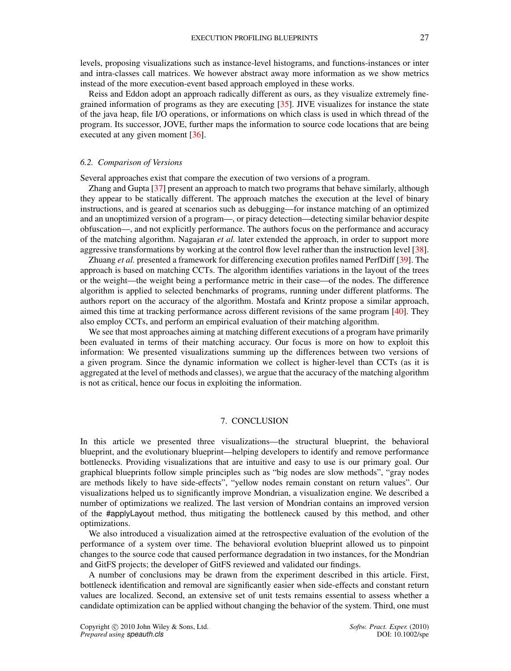Reiss and Eddon adopt an approach radically different as ours, as they visualize extremely finegrained information of programs as they are executing [\[35\]](#page-28-12). JIVE visualizes for instance the state of the java heap, file I/O operations, or informations on which class is used in which thread of the program. Its successor, JOVE, further maps the information to source code locations that are being executed at any given moment [\[36\]](#page-28-13).

## *6.2. Comparison of Versions*

Several approaches exist that compare the execution of two versions of a program.

Zhang and Gupta [\[37\]](#page-28-14) present an approach to match two programs that behave similarly, although they appear to be statically different. The approach matches the execution at the level of binary instructions, and is geared at scenarios such as debugging—for instance matching of an optimized and an unoptimized version of a program—, or piracy detection—detecting similar behavior despite obfuscation—, and not explicitly performance. The authors focus on the performance and accuracy of the matching algorithm. Nagajaran *et al.* later extended the approach, in order to support more aggressive transformations by working at the control flow level rather than the instruction level [\[38\]](#page-28-15).

Zhuang *et al.* presented a framework for differencing execution profiles named PerfDiff [\[39\]](#page-28-16). The approach is based on matching CCTs. The algorithm identifies variations in the layout of the trees or the weight—the weight being a performance metric in their case—of the nodes. The difference algorithm is applied to selected benchmarks of programs, running under different platforms. The authors report on the accuracy of the algorithm. Mostafa and Krintz propose a similar approach, aimed this time at tracking performance across different revisions of the same program [\[40\]](#page-28-17). They also employ CCTs, and perform an empirical evaluation of their matching algorithm.

We see that most approaches aiming at matching different executions of a program have primarily been evaluated in terms of their matching accuracy. Our focus is more on how to exploit this information: We presented visualizations summing up the differences between two versions of a given program. Since the dynamic information we collect is higher-level than CCTs (as it is aggregated at the level of methods and classes), we argue that the accuracy of the matching algorithm is not as critical, hence our focus in exploiting the information.

# 7. CONCLUSION

<span id="page-26-0"></span>In this article we presented three visualizations—the structural blueprint, the behavioral blueprint, and the evolutionary blueprint—helping developers to identify and remove performance bottlenecks. Providing visualizations that are intuitive and easy to use is our primary goal. Our graphical blueprints follow simple principles such as "big nodes are slow methods", "gray nodes are methods likely to have side-effects", "yellow nodes remain constant on return values". Our visualizations helped us to significantly improve Mondrian, a visualization engine. We described a number of optimizations we realized. The last version of Mondrian contains an improved version of the #applyLayout method, thus mitigating the bottleneck caused by this method, and other optimizations.

We also introduced a visualization aimed at the retrospective evaluation of the evolution of the performance of a system over time. The behavioral evolution blueprint allowed us to pinpoint changes to the source code that caused performance degradation in two instances, for the Mondrian and GitFS projects; the developer of GitFS reviewed and validated our findings.

A number of conclusions may be drawn from the experiment described in this article. First, bottleneck identification and removal are significantly easier when side-effects and constant return values are localized. Second, an extensive set of unit tests remains essential to assess whether a candidate optimization can be applied without changing the behavior of the system. Third, one must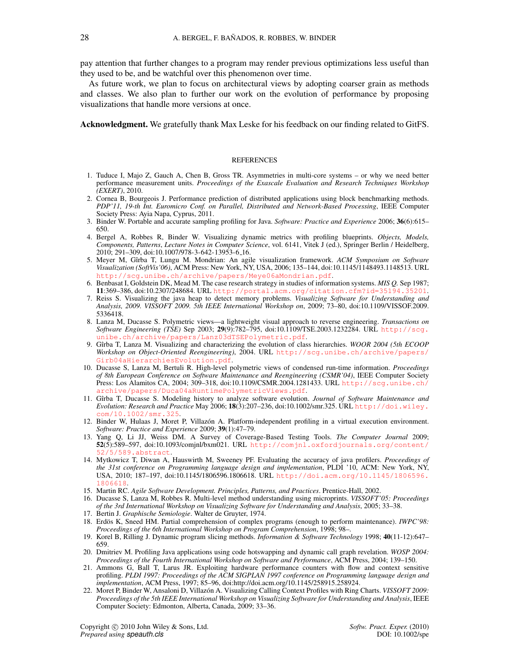pay attention that further changes to a program may render previous optimizations less useful than they used to be, and be watchful over this phenomenon over time.

As future work, we plan to focus on architectural views by adopting coarser grain as methods and classes. We also plan to further our work on the evolution of performance by proposing visualizations that handle more versions at once.

Acknowledgment. We gratefully thank Max Leske for his feedback on our finding related to GitFS.

#### REFERENCES

- <span id="page-27-0"></span>1. Tuduce I, Majo Z, Gauch A, Chen B, Gross TR. Asymmetries in multi-core systems – or why we need better performance measurement units. *Proceedings of the Exascale Evaluation and Research Techniques Workshop (EXERT)*, 2010.
- <span id="page-27-1"></span>2. Cornea B, Bourgeois J. Performance prediction of distributed applications using block benchmarking methods. *PDP'11, 19-th Int. Euromicro Conf. on Parallel, Distributed and Network-Based Processing*, IEEE Computer Society Press: Ayia Napa, Cyprus, 2011.
- <span id="page-27-2"></span>3. Binder W. Portable and accurate sampling profiling for Java. *Software: Practice and Experience* 2006; 36(6):615– 650.
- <span id="page-27-3"></span>4. Bergel A, Robbes R, Binder W. Visualizing dynamic metrics with profiling blueprints. *Objects, Models, Components, Patterns*, *Lecture Notes in Computer Science*, vol. 6141, Vitek J (ed.), Springer Berlin / Heidelberg, 2010; 291–309, doi:10.1007/978-3-642-13953-6 16.
- <span id="page-27-4"></span>5. Meyer M, Gˆırba T, Lungu M. Mondrian: An agile visualization framework. *ACM Symposium on Software Visualization (SoftVis'06)*, ACM Press: New York, NY, USA, 2006; 135–144, doi:10.1145/1148493.1148513. URL <http://scg.unibe.ch/archive/papers/Meye06aMondrian.pdf>.
- <span id="page-27-5"></span>6. Benbasat I, Goldstein DK, Mead M. The case research strategy in studies of information systems. *MIS Q.* Sep 1987; 11:369–386, doi:10.2307/248684. URL <http://portal.acm.org/citation.cfm?id=35194.35201>.
- <span id="page-27-6"></span>7. Reiss S. Visualizing the java heap to detect memory problems. *Visualizing Software for Understanding and Analysis, 2009. VISSOFT 2009. 5th IEEE International Workshop on*, 2009; 73–80, doi:10.1109/VISSOF.2009. 5336418.
- <span id="page-27-7"></span>8. Lanza M, Ducasse S. Polymetric views—a lightweight visual approach to reverse engineering. *Transactions on Software Engineering (TSE)* Sep 2003; 29(9):782–795, doi:10.1109/TSE.2003.1232284. URL [http://scg.](http://scg.unibe.ch/archive/papers/Lanz03dTSEPolymetric.pdf) [unibe.ch/archive/papers/Lanz03dTSEPolymetric.pdf](http://scg.unibe.ch/archive/papers/Lanz03dTSEPolymetric.pdf).
- <span id="page-27-8"></span>9. Gˆırba T, Lanza M. Visualizing and characterizing the evolution of class hierarchies. *WOOR 2004 (5th ECOOP Workshop on Object-Oriented Reengineering)*, 2004. URL [http://scg.unibe.ch/archive/papers/](http://scg.unibe.ch/archive/papers/Girb04aHierarchiesEvolution.pdf) [Girb04aHierarchiesEvolution.pdf](http://scg.unibe.ch/archive/papers/Girb04aHierarchiesEvolution.pdf).
- <span id="page-27-9"></span>10. Ducasse S, Lanza M, Bertuli R. High-level polymetric views of condensed run-time information. *Proceedings of 8th European Conference on Software Maintenance and Reengineering (CSMR'04)*, IEEE Computer Society Press: Los Alamitos CA, 2004; 309–318, doi:10.1109/CSMR.2004.1281433. URL [http://scg.unibe.ch/](http://scg.unibe.ch/archive/papers/Duca04aRuntimePolymetricViews.pdf) [archive/papers/Duca04aRuntimePolymetricViews.pdf](http://scg.unibe.ch/archive/papers/Duca04aRuntimePolymetricViews.pdf).
- <span id="page-27-10"></span>11. Gîrba T, Ducasse S. Modeling history to analyze software evolution. *Journal of Software Maintenance and Evolution: Research and Practice* May 2006; 18(3):207–236, doi:10.1002/smr.325. URL [http://doi.wiley.](http://doi.wiley.com/10.1002/smr.325) [com/10.1002/smr.325](http://doi.wiley.com/10.1002/smr.325).
- <span id="page-27-11"></span>12. Binder W, Hulaas J, Moret P, Villazón A. Platform-independent profiling in a virtual execution environment. *Software: Practice and Experience* 2009; 39(1):47–79.
- <span id="page-27-12"></span>13. Yang Q, Li JJ, Weiss DM. A Survey of Coverage-Based Testing Tools. *The Computer Journal* 2009; 52(5):589–597, doi:10.1093/comjnl/bxm021. URL [http://comjnl.oxfordjournals.org/content/](http://comjnl.oxfordjournals.org/content/52/5/589.abstract) 5/589.abstract
- <span id="page-27-13"></span>14. Mytkowicz T, Diwan A, Hauswirth M, Sweeney PF. Evaluating the accuracy of java profilers. *Proceedings of the 31st conference on Programming language design and implementation*, PLDI '10, ACM: New York, NY, USA, 2010; 187–197, doi:10.1145/1806596.1806618. URL [http://doi.acm.org/10.1145/1806596.](http://doi.acm.org/10.1145/1806596.1806618) [1806618](http://doi.acm.org/10.1145/1806596.1806618).
- <span id="page-27-14"></span>15. Martin RC. *Agile Software Development. Principles, Patterns, and Practices*. Prentice-Hall, 2002.
- <span id="page-27-15"></span>16. Ducasse S, Lanza M, Robbes R. Multi-level method understanding using microprints. *VISSOFT'05: Proceedings of the 3rd International Workshop on Visualizing Software for Understanding and Analysis*, 2005; 33–38.
- <span id="page-27-16"></span>17. Bertin J. *Graphische Semiologie*. Walter de Gruyter, 1974.
- <span id="page-27-17"></span>18. Erdös K, Sneed HM. Partial comprehension of complex programs (enough to perform maintenance). *IWPC'98*: *Proceedings of the 6th International Workshop on Program Comprehension*, 1998; 98–.
- <span id="page-27-18"></span>19. Korel B, Rilling J. Dynamic program slicing methods. *Information & Software Technology* 1998; 40(11-12):647– 659.
- <span id="page-27-19"></span>20. Dmitriev M. Profiling Java applications using code hotswapping and dynamic call graph revelation. *WOSP 2004: Proceedings of the Fourth International Workshop on Software and Performance*, ACM Press, 2004; 139–150.
- <span id="page-27-20"></span>21. Ammons G, Ball T, Larus JR. Exploiting hardware performance counters with flow and context sensitive profiling. *PLDI 1997: Proceedings of the ACM SIGPLAN 1997 conference on Programming language design and implementation*, ACM Press, 1997; 85–96, doi:http://doi.acm.org/10.1145/258915.258924.
- <span id="page-27-21"></span>22. Moret P, Binder W, Ansaloni D, Villazón A. Visualizing Calling Context Profiles with Ring Charts. *VISSOFT 2009: Proceedings of the 5th IEEE International Workshop on Visualizing Software for Understanding and Analysis*, IEEE Computer Society: Edmonton, Alberta, Canada, 2009; 33–36.